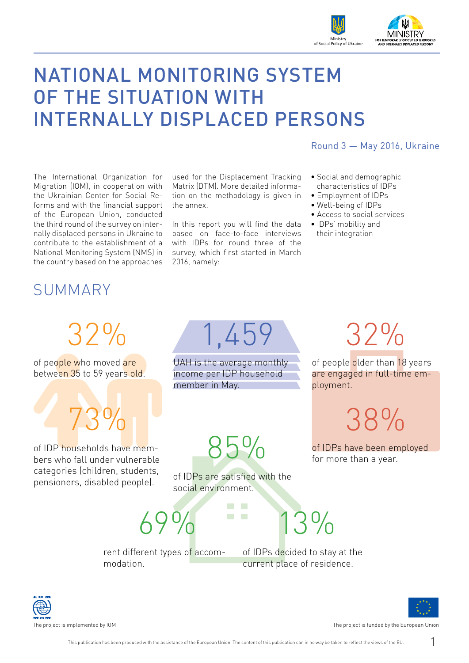

# NATIONAL MONITORING SYSTEM OF THE SITUATION WITH INTERNALLY DISPLACED PERSONS

The International Organization for Migration (IOM), in cooperation with the Ukrainian Center for Social Reforms and with the financial support of the European Union, conducted the third round of the survey on internally displaced persons in Ukraine to contribute to the establishment of a National Monitoring System (NMS) in the country based on the approaches

used for the Displacement Tracking Matrix (DTM). More detailed information on the methodology is given in the annex.

In this report you will find the data based on face-to-face interviews with IDPs for round three of the survey, which first started in March 2016, namely:

#### Round 3 — May 2016, Ukraine

- Social and demographic characteristics of IDPs
- Employment of IDPs
- Well-being of IDPs
- Access to social services
- IDPs' mobility and their integration

### SUMMARY

32%

of people who moved are between 35 to 59 years old.

73%

of IDP households have members who fall under vulnerable categories (children, students, pensioners, disabled people).

1,459

UAH is the average monthly income per IDP household member in May.

85%

32%

of people older than 18 years are engaged in full-time employment.

38%

of IDPs have been employed for more than a year.

of IDPs are satisfied with the social environment.

> $\mathcal{L}_{\mathcal{A}}$ **The State CONTRACTOR**

69%

modation.

 $3%$ 

rent different types of accom-

of IDPs decided to stay at the current place of residence.

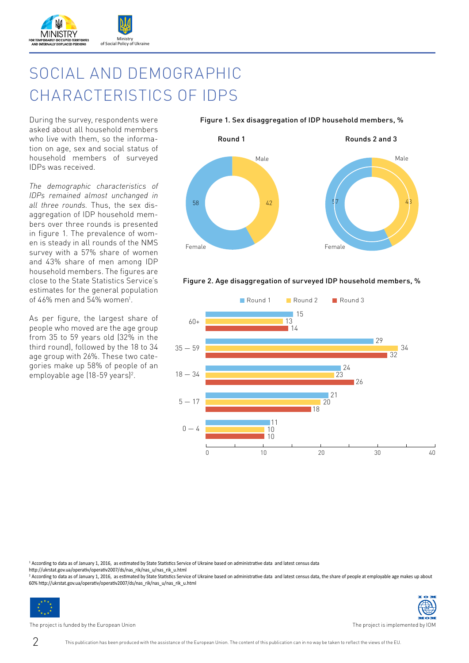

## SOCIAL AND DEMOGRAPHIC CHARACTERISTICS OF IDPS

During the survey, respondents were asked about all household members who live with them, so the information on age, sex and social status of household members of surveyed IDPs was received.

*The demographic characteristics of IDPs remained almost unchanged in all three rounds.* Thus, the sex disaggregation of IDP household members over three rounds is presented in figure 1. The prevalence of women is steady in all rounds of the NMS survey with a 57% share of women and 43% share of men among IDP household members. The figures are close to the State Statistics Service's estimates for the general population of 46% men and 54% women<sup>1</sup>.

As per figure, the largest share of people who moved are the age group from 35 to 59 years old (32% in the third round), followed by the 18 to 34 age group with 26%. These two categories make up 58% of people of an employable age (18-59 years)<sup>2</sup>.



#### Figure 2. Age disaggregation of surveyed IDP household members, %



<sup>1</sup> According to data as of January 1, 2016, as estimated by State Statistics Service of Ukraine based on administrative data and latest census data

http://ukrstat.gov.ua/operativ/operativ2007/ds/nas\_rik/nas\_u/nas\_rik\_u.html

<sup>2</sup> According to data as of January 1, 2016, as estimated by State Statistics Service of Ukraine based on administrative data and latest census data, the share of people at employable age makes up about 60% http://ukrstat.gov.ua/operativ/operativ2007/ds/nas\_rik/nas\_u/nas\_rik\_u.html



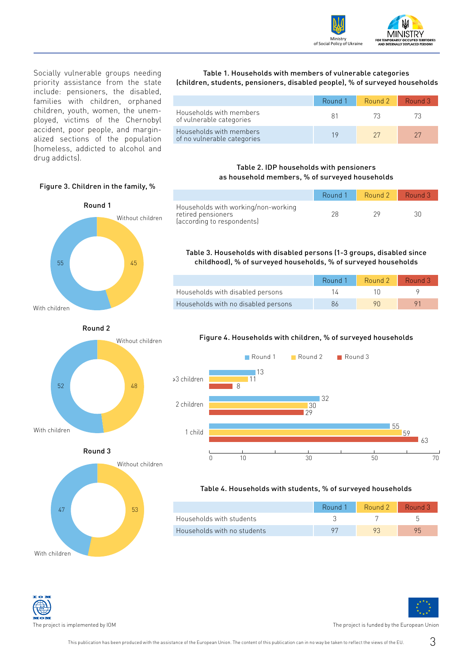

Socially vulnerable groups needing priority assistance from the state include: pensioners, the disabled, families with children, orphaned children, youth, women, the unemployed, victims of the Chernobyl accident, poor people, and marginalized sections of the population (homeless, addicted to alcohol and drug addicts).

Figure 3. Children in the family, %

Round 1

Without children

Without children

Without children

55 45

52 48

47 53

Round 3

Round 2

With children

With children

With children

#### Table 1. Households with members of vulnerable categories (children, students, pensioners, disabled people), % of surveyed households

|                                                        | Round 1 | Round 2 | Round 3 |
|--------------------------------------------------------|---------|---------|---------|
| Households with members<br>of vulnerable categories    | X1      | 73.     |         |
| Households with members<br>of no vulnerable categories |         | 27      |         |

#### Table 2. IDP households with pensioners as household members, % of surveyed households

|                                                                                         | Round 1 | Round 2 | $\blacksquare$ Round 3 |
|-----------------------------------------------------------------------------------------|---------|---------|------------------------|
| Households with working/non-working<br>retired pensioners<br>(according to respondents) |         | 29      |                        |

#### Table 3. Households with disabled persons (1-3 groups, disabled since childhood), % of surveyed households, % of surveyed households

|                                     | Round 1 | Round 2 Round 3 |  |
|-------------------------------------|---------|-----------------|--|
| Households with disabled persons    |         |                 |  |
| Households with no disabled persons | 86      | 90.             |  |

#### Figure 4. Households with children, % of surveyed households



#### Table 4. Households with students, % of surveyed households

|                             | Round 1 Round 2 | Round 3 |
|-----------------------------|-----------------|---------|
| Households with students    |                 |         |
| Households with no students |                 | 95      |

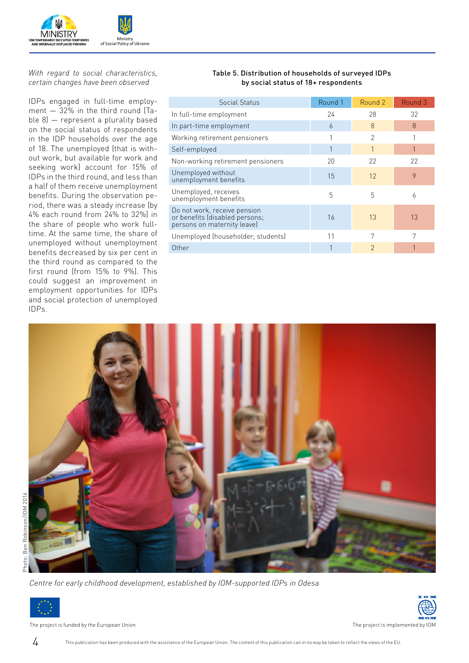

#### *With regard to social characteristics, certain changes have been observed*

IDPs engaged in full-time employment — 32% in the third round (Table 8) — represent a plurality based on the social status of respondents in the IDP households over the age of 18. The unemployed (that is without work, but available for work and seeking work) account for 15% of IDPs in the third round, and less than a half of them receive unemployment benefits. During the observation period, there was a steady increase (by 4% each round from 24% to 32%) in the share of people who work fulltime. At the same time, the share of unemployed without unemployment benefits decreased by six per cent in the third round as compared to the first round (from 15% to 9%). This could suggest an improvement in employment opportunities for IDPs and social protection of unemployed IDPs.

#### Table 5. Distribution of households of surveyed IDPs by social status of 18+ respondents

| Social Status                                                                                 | Round 1 | Round 2       | Round 3 |
|-----------------------------------------------------------------------------------------------|---------|---------------|---------|
| In full-time employment                                                                       | 24      | 28            | 32      |
| In part-time employment                                                                       | 6       | 8             | 8       |
| Working retirement pensioners                                                                 |         | 2             |         |
| Self-employed                                                                                 |         |               |         |
| Non-working retirement pensioners                                                             | 20      | 22            | 22      |
| Unemployed without<br>unemployment benefits                                                   | 15      | 12            | 9       |
| Unemployed, receives<br>unemployment benefits                                                 | 5       | 5             | 6       |
| Do not work, receive pension<br>or benefits (disabled persons;<br>persons on maternity leave) | 16      | 13            | 13      |
| Unemployed (householder; students)                                                            | 11      | 7             | 7       |
| Other                                                                                         |         | $\mathcal{P}$ |         |





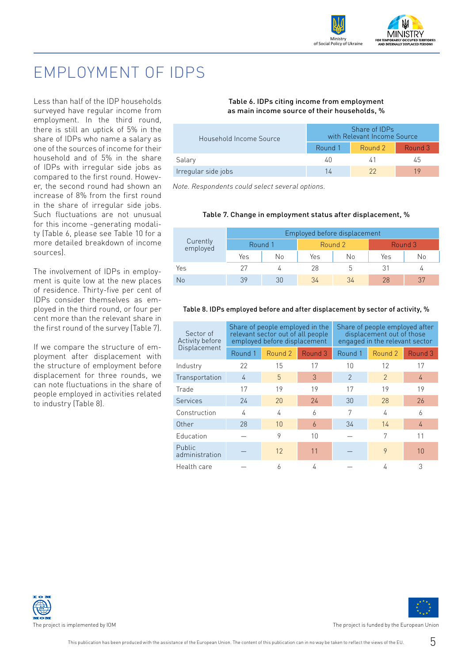

### EMPLOYMENT OF IDPS

Less than half of the IDP households surveyed have regular income from employment. In the third round, there is still an uptick of 5% in the share of IDPs who name a salary as one of the sources of income for their household and of 5% in the share of IDPs with irregular side jobs as compared to the first round. However, the second round had shown an increase of 8% from the first round in the share of irregular side jobs. Such fluctuations are not unusual for this income -generating modality (Table 6, please see Table 10 for a more detailed breakdown of income sources).

The involvement of IDPs in employment is quite low at the new places of residence. Thirty-five per cent of IDPs consider themselves as employed in the third round, or four per cent more than the relevant share in the first round of the survey (Table 7).

If we compare the structure of employment after displacement with the structure of employment before displacement for three rounds, we can note fluctuations in the share of people employed in activities related to industry (Table 8).

#### Table 6. IDPs citing income from employment as main income source of their households, %

| Household Income Source | Share of IDPs<br>with Relevant Income Source |         |         |  |
|-------------------------|----------------------------------------------|---------|---------|--|
|                         | Round 1                                      | Round 2 | Round 3 |  |
| Salary                  | 40                                           | 41      | 45      |  |
| Irregular side jobs     |                                              | 22      |         |  |

*Note. Respondents could select several options.* 

#### Table 7. Change in employment status after displacement, %

| Curently<br>employed | Employed before displacement |    |         |    |         |    |  |
|----------------------|------------------------------|----|---------|----|---------|----|--|
|                      | Round 1                      |    | Round 2 |    | Round 3 |    |  |
|                      | Yes                          | Νo | Yes     | No | Yes     | Νo |  |
| Yes                  | クワ                           |    | 28      |    |         |    |  |
| <b>No</b>            | 39                           | 30 | 34      | 34 | 28      | 37 |  |

#### Table 8. IDPs employed before and after displacement by sector of activity, %

| Sector of<br>Activity before | Share of people employed in the<br>relevant sector out of all people<br>employed before displacement |                |         | Share of people employed after<br>displacement out of those<br>engaged in the relevant sector |               |         |
|------------------------------|------------------------------------------------------------------------------------------------------|----------------|---------|-----------------------------------------------------------------------------------------------|---------------|---------|
| Displacement                 | Round 1                                                                                              | Round 2        | Round 3 | Round 1                                                                                       | Round 2       | Round 3 |
| Industry                     | 22                                                                                                   | 15             | 17      | 10                                                                                            | 12            | 17      |
| Transportation               | 4                                                                                                    | $\overline{5}$ | 3       | $\mathcal{P}$                                                                                 | $\mathcal{P}$ | 4       |
| Trade                        | 17                                                                                                   | 19             | 19      | 17                                                                                            | 19            | 19      |
| Services                     | 24                                                                                                   | 20             | 24      | 30                                                                                            | 28            | 26      |
| Construction                 | 4                                                                                                    | 4              | 6       | 7                                                                                             | 4             | 6       |
| Other                        | 28                                                                                                   | 10             | 6       | 34                                                                                            | 14            | 4       |
| Education                    |                                                                                                      | 9              | 10      |                                                                                               | 7             | 11      |
| Public<br>administration     |                                                                                                      | 12             | 11      |                                                                                               | 9             | 10      |
| Health care                  |                                                                                                      | 6              | 4       |                                                                                               | 4             | 3       |



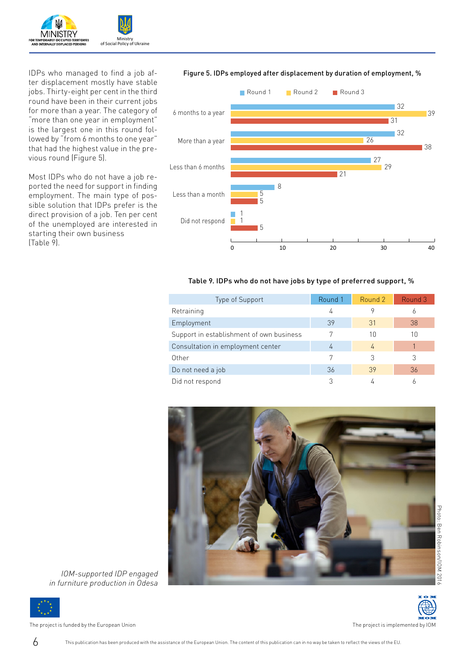

IDPs who managed to find a job after displacement mostly have stable jobs. Thirty-eight per cent in the third round have been in their current jobs for more than a year. The category of "more than one year in employment" is the largest one in this round followed by "from 6 months to one year" that had the highest value in the previous round (Figure 5).

Most IDPs who do not have a job reported the need for support in finding employment. The main type of possible solution that IDPs prefer is the direct provision of a job. Ten per cent of the unemployed are interested in starting their own business (Table 9).

#### Figure 5. IDPs employed after displacement by duration of employment, %



#### Table 9. IDPs who do not have jobs by type of preferred support, %

| Type of Support                          | Round 1 | Round 2 | Round 3 |
|------------------------------------------|---------|---------|---------|
| Retraining                               | 4       |         | Ô       |
| Employment                               | 39      | 31      | 38      |
| Support in establishment of own business | 7       | 10      | 10      |
| Consultation in employment center        | 4       | 4       |         |
| Other                                    |         | 3       | 3       |
| Do not need a job                        | 36      | 39      | 36      |
| Did not respond                          |         |         |         |



*IOM-supported IDP engaged in furniture production in Odesa*

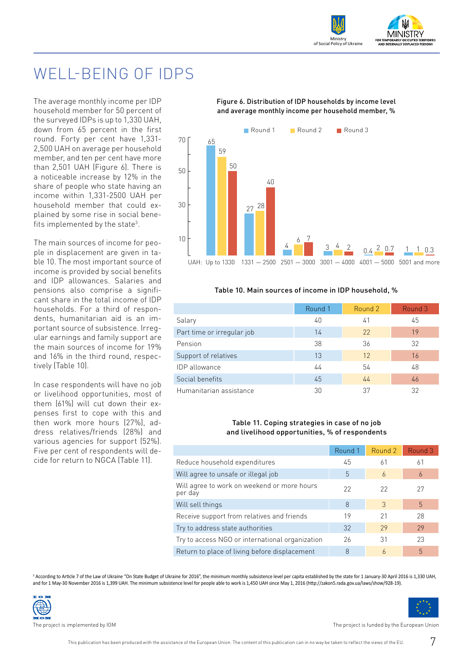

### WELL-BEING OF IDPS

The average monthly income per IDP household member for 50 percent of the surveyed IDPs is up to 1,330 UAH, down from 65 percent in the first round. Forty per cent have 1,331- 2,500 UAH on average per household member, and ten per cent have more than 2,501 UAH (Figure 6). There is a noticeable increase by 12% in the share of people who state having an income within 1,331-2500 UAH per household member that could explained by some rise in social benefits implemented by the state<sup>3</sup>.

The main sources of income for people in displacement are given in table 10. The most important source of income is provided by social benefits and IDP allowances. Salaries and pensions also comprise a significant share in the total income of IDP households. For a third of respondents, humanitarian aid is an important source of subsistence. Irregular earnings and family support are the main sources of income for 19% and 16% in the third round, respectively (Table 10).

In case respondents will have no job or livelihood opportunities, most of them (61%) will cut down their expenses first to cope with this and then work more hours (27%) address relatives/friends (28%) and various agencies for support (52%). Five per cent of respondents will decide for return to NGCA (Table 11).

#### Figure 6. Distribution of IDP households by income level and average monthly income per household member, %



#### Table 10. Main sources of income in IDP household, %

|                            | Round 1 | Round 2 | Round 3 |
|----------------------------|---------|---------|---------|
| Salary                     | 40      | 41      | 45      |
| Part time or irregular job | 14      | 22      | 19      |
| Pension                    | 38      | 36      | 32      |
| Support of relatives       | 13      | 12      | 16      |
| <b>IDP</b> allowance       | 44      | 54      | 48      |
| Social benefits            | 45      | 44      | 46      |
| Humanitarian assistance    | 30      | 37      | 32      |

#### Table 11. Coping strategies in case of no job and livelihood opportunities, % of respondents

|                                                        | Round 1 | Round 2 | Round 3 |
|--------------------------------------------------------|---------|---------|---------|
| Reduce household expenditures                          | 45      | 61      | 61      |
| Will agree to unsafe or illegal job                    | 5       | 6       | 6       |
| Will agree to work on weekend or more hours<br>per day | 22      | 22      | 27      |
| Will sell things                                       | 8       | 3       | 5       |
| Receive support from relatives and friends             | 19      | 21      | 28      |
| Try to address state authorities                       | 32      | 29      | 29      |
| Try to access NGO or international organization        | 26      | 31      | 23      |
| Return to place of living before displacement          | 8       | 6       | 5       |

<sup>3</sup> According to Article 7 of the Law of Ukraine "On State Budget of Ukraine for 2016", the minimum monthly subsistence level per capita established by the state for 1 January-30 April 2016 is 1,330 UAH, and for 1 May-30 November 2016 is 1,399 UAH. The minimum subsistence level for people able to work is 1,450 UAH since May 1, 2016 (http://zakon5.rada.gov.ua/laws/show/928-19).



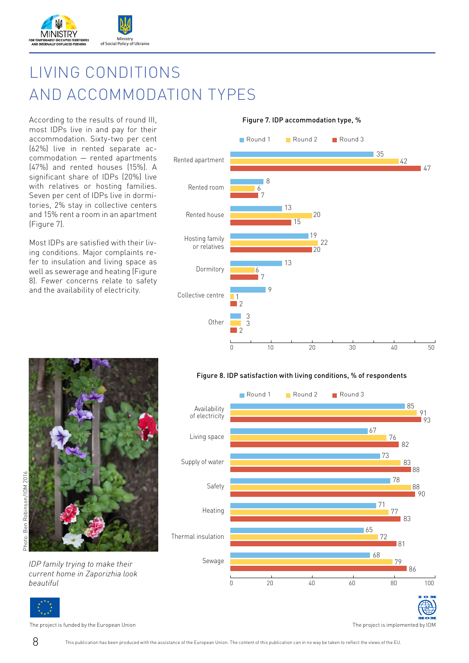

## LIVING CONDITIONS AND ACCOMMODATION TYPES

According to the results of round III, most IDPs live in and pay for their accommodation. Sixty-two per cent (62%) live in rented separate accommodation — rented apartments (47%) and rented houses (15%). A significant share of IDPs (20%) live with relatives or hosting families. Seven per cent of IDPs live in dormitories, 2% stay in collective centers and 15% rent a room in an apartment (Figure 7).

Most IDPs are satisfied with their living conditions. Major complaints refer to insulation and living space as well as sewerage and heating (Figure 8). Fewer concerns relate to safety and the availability of electricity.



*current home in Zaporizhia look beautiful*



Figure 8. IDP satisfaction with living conditions, % of respondents

Round 1 Round 2 Round 3

0 20 40 60 80 100

Figure 7. IDP accommodation type, %

The project is funded by the European Union The project is implemented by IOM

8 This publication has been produced with the assistance of the European Union. The content of this publication can in no way be taken to reflect the views of the EU.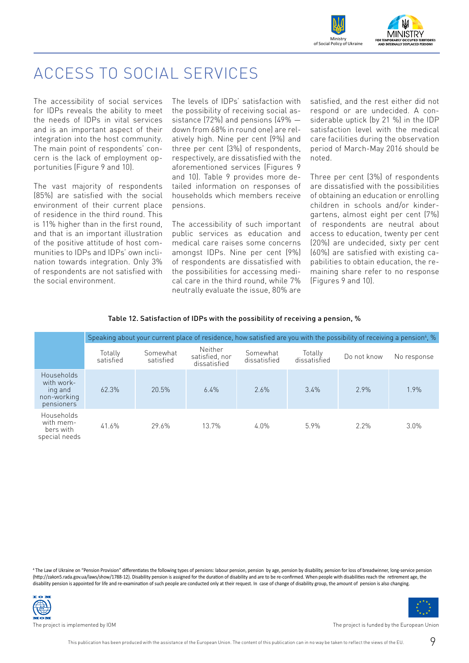

### ACCESS TO SOCIAL SERVICES

The accessibility of social services for IDPs reveals the ability to meet the needs of IDPs in vital services and is an important aspect of their integration into the host community. The main point of respondents' concern is the lack of employment opportunities (Figure 9 and 10).

The vast majority of respondents (85%) are satisfied with the social environment of their current place of residence in the third round. This is 11% higher than in the first round, and that is an important illustration of the positive attitude of host communities to IDPs and IDPs' own inclination towards integration. Only 3% of respondents are not satisfied with the social environment.

The levels of IDPs' satisfaction with the possibility of receiving social assistance (72%) and pensions (49% down from 68% in round one) are relatively high. Nine per cent (9%) and three per cent (3%) of respondents, respectively, are dissatisfied with the aforementioned services (Figures 9 and 10). Table 9 provides more detailed information on responses of households which members receive pensions.

The accessibility of such important public services as education and medical care raises some concerns amongst IDPs. Nine per cent (9%) of respondents are dissatisfied with the possibilities for accessing medical care in the third round, while 7% neutrally evaluate the issue, 80% are

satisfied, and the rest either did not respond or are undecided. A considerable uptick (by 21 %) in the IDP satisfaction level with the medical care facilities during the observation period of March-May 2016 should be noted.

Three per cent (3%) of respondents are dissatisfied with the possibilities of obtaining an education or enrolling children in schools and/or kindergartens, almost eight per cent (7%) of respondents are neutral about access to education, twenty per cent (20%) are undecided, sixty per cent (60%) are satisfied with existing capabilities to obtain education, the remaining share refer to no response (Figures 9 and 10).

#### Table 12. Satisfaction of IDPs with the possibility of receiving a pension, %

|                                                                  | Speaking about your current place of residence, how satisfied are you with the possibility of receiving a pension <sup>4</sup> , % |                       |                                                  |                          |                         |             |             |
|------------------------------------------------------------------|------------------------------------------------------------------------------------------------------------------------------------|-----------------------|--------------------------------------------------|--------------------------|-------------------------|-------------|-------------|
|                                                                  | Totally<br>satisfied                                                                                                               | Somewhat<br>satisfied | <b>Neither</b><br>satisfied, nor<br>dissatisfied | Somewhat<br>dissatisfied | Totally<br>dissatisfied | Do not know | No response |
| Households<br>with work-<br>ing and<br>non-working<br>pensioners | 62.3%                                                                                                                              | 20.5%                 | 6.4%                                             | 2.6%                     | 3.4%                    | 2.9%        | 1.9%        |
| Households<br>with mem-<br>bers with<br>special needs            | 41.6%                                                                                                                              | 29.6%                 | 13.7%                                            | 4.0%                     | 5.9%                    | 2.2%        | 3.0%        |

4 The Law of Ukraine on "Pension Provision" differentiates the following types of pensions: labour pension, pension by age, pension by disability, pension for loss of breadwinner, long-service pension (http://zakon5.rada.gov.ua/laws/show/1788-12). Disability pension is assigned for the duration of disability and are to be re-confirmed. When people with disabilities reach the retirement age, the disability pension is appointed for life and re-examination of such people are conducted only at their request. In case of change of disability group, the amount of pension is also changing.

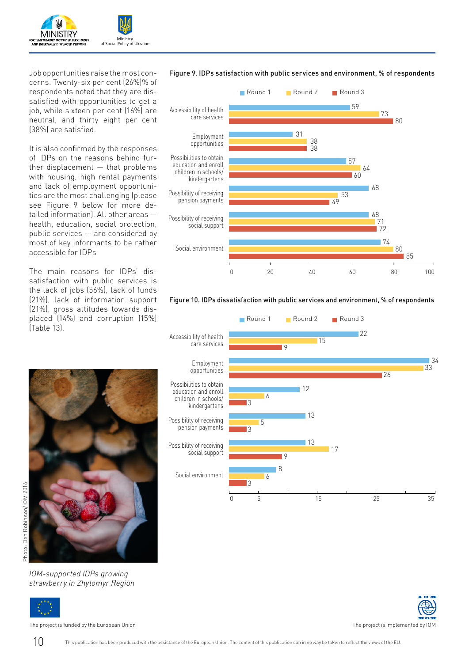

Job opportunities raise the most concerns. Twenty-six per cent (26%)% of respondents noted that they are dissatisfied with opportunities to get a job, while sixteen per cent (16%) are neutral, and thirty eight per cent (38%) are satisfied.

It is also confirmed by the responses of IDPs on the reasons behind further displacement — that problems with housing, high rental payments and lack of employment opportunities are the most challenging (please see Figure 9 below for more detailed information). All other areas health, education, social protection, public services — are considered by most of key informants to be rather accessible for IDPs

The main reasons for IDPs' dissatisfaction with public services is the lack of jobs (56%), lack of funds (21%), lack of information support (21%), gross attitudes towards displaced (14%) and corruption (15%) (Table 13).



*IOM-supported IDPs growing strawberry in Zhytomyr Region*



The project is funded by the European Union The project is implemented by IOM



#### Figure 9. IDPs satisfaction with public services and environment, % of respondents





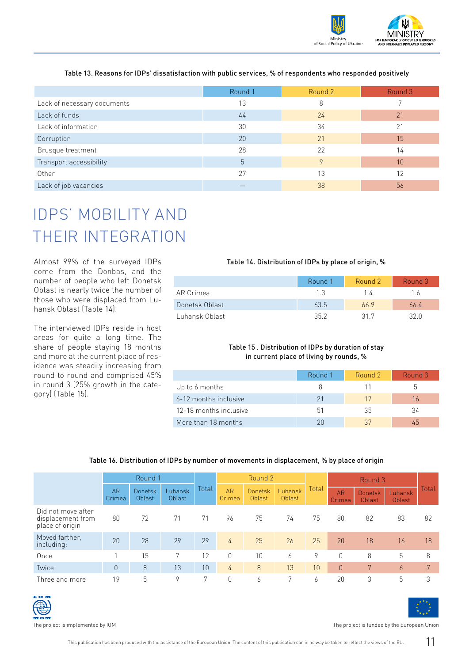

#### Table 13. Reasons for IDPs' dissatisfaction with public services, % of respondents who responded positively

|                             | Round 1 | Round 2      | Round 3 |
|-----------------------------|---------|--------------|---------|
| Lack of necessary documents | 13      | 8            |         |
| Lack of funds               | 44      | 24           | 21      |
| Lack of information         | 30      | 34           | 21      |
| Corruption                  | 20      | 21           | 15      |
| Brusque treatment           | 28      | 22           | 14      |
| Transport accessibility     | 5       | $\mathsf{Q}$ | 10      |
| Other                       | 27      | 13           | 12      |
| Lack of job vacancies       |         | 38           | 56      |

## IDPS' MOBILITY AND THEIR INTEGRATION

Almost 99% of the surveyed IDPs come from the Donbas, and the number of people who left Donetsk Oblast is nearly twice the number of those who were displaced from Luhansk Oblast (Table 14).

The interviewed IDPs reside in host areas for quite a long time. The share of people staying 18 months and more at the current place of residence was steadily increasing from round to round and comprised 45% in round 3 (25% growth in the category) (Table 15).

|                | Round 1 | Round 2 | Round 3 |
|----------------|---------|---------|---------|
| AR Crimea      | 13      | 14      | 16      |
| Donetsk Oblast | 63.5    | 66.9    | 66.4    |
| Luhansk Oblast | 352     | 31 7    | 32 U    |

#### Table 15 . Distribution of IDPs by duration of stay in current place of living by rounds, %

|                        | Round 1 | Round 2 | Round 3 |
|------------------------|---------|---------|---------|
| Up to 6 months         |         |         |         |
| 6-12 months inclusive  | 21      | 17      | 16      |
| 12-18 months inclusive | 51      | -35     | 34      |
| More than 18 months    | 20      | 37      | 45      |

#### Table 16. Distribution of IDPs by number of movements in displacement, % by place of origin

|                                                            |                     | Round 1           |                   |       |                     | Round 2           |                   |                 |                     |                          |                   |       |
|------------------------------------------------------------|---------------------|-------------------|-------------------|-------|---------------------|-------------------|-------------------|-----------------|---------------------|--------------------------|-------------------|-------|
|                                                            | <b>AR</b><br>Crimea | Donetsk<br>Oblast | Luhansk<br>Oblast | Total | <b>AR</b><br>Crimea | Donetsk<br>Oblast | Luhansk<br>Oblast | Total           | <b>AR</b><br>Crimea | <b>Donetsk</b><br>Oblast | Luhansk<br>Oblast | Total |
| Did not move after<br>displacement from<br>place of origin | 80                  | 72                | 71                | 71    | 96                  | 75                | 74                | 75              | 80                  | 82                       | 83                | 82    |
| Moved farther.<br>including:                               | 20                  | 28                | 29                | 29    | 4                   | 25                | 26                | 25              | 20                  | 18                       | 16                | 18    |
| Once                                                       |                     | 15                | 7                 | 12    | 0                   | 10                | 6                 | 9               |                     | 8                        | 5                 | 8     |
| Twice                                                      | 0                   | 8                 | 13                | 10    | 4                   | 8                 | 13                | 10 <sup>1</sup> | $\theta$            | $7^{\circ}$              | 6                 | 7     |
| Three and more                                             | 19                  | 5                 | 9                 | 7     | 0                   | 6                 |                   | 6               | 20                  | 3                        | 5                 | 3     |

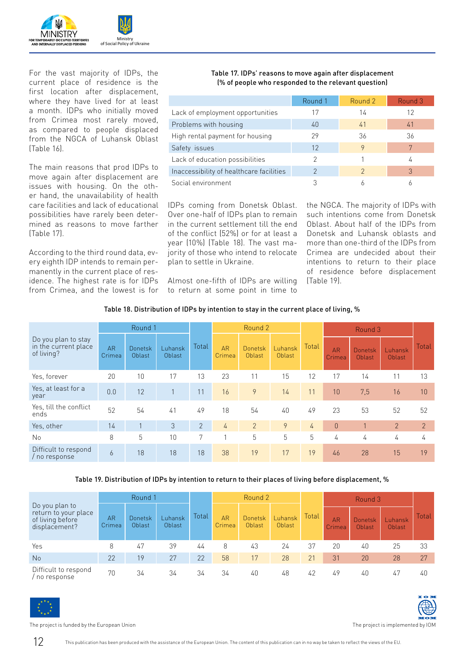

For the vast majority of IDPs, the current place of residence is the first location after displacement, where they have lived for at least a month. IDPs who initially moved from Crimea most rarely moved, as compared to people displaced from the NGCA of Luhansk Oblast (Table 16).

The main reasons that prod IDPs to move again after displacement are issues with housing. On the other hand, the unavailability of health care facilities and lack of educational possibilities have rarely been determined as reasons to move farther (Table 17).

According to the third round data, every eighth IDP intends to remain permanently in the current place of residence. The highest rate is for IDPs from Crimea, and the lowest is for

#### Table 17. IDPs' reasons to move again after displacement (% of people who responded to the relevant question)

|                                          | Round 1 | Round 2       | Round 3 |
|------------------------------------------|---------|---------------|---------|
| Lack of employment opportunities         | 17      | 14            | 12      |
| Problems with housing                    | 40      | 41            | 41      |
| High rental payment for housing          | 29      | 36            | 36      |
| Safety issues                            | 12      | 9             |         |
| Lack of education possibilities          | റ       |               | 4       |
| Inaccessibility of healthcare facilities |         | $\mathcal{P}$ | 3       |
| Social environment                       |         |               |         |

IDPs coming from Donetsk Oblast. Over one-half of IDPs plan to remain in the current settlement till the end of the conflict (52%) or for at least a year (10%) (Table 18). The vast majority of those who intend to relocate plan to settle in Ukraine.

Almost one-fifth of IDPs are willing to return at some point in time to the NGCA. The majority of IDPs with such intentions come from Donetsk Oblast. About half of the IDPs from Donetsk and Luhansk oblasts and more than one-third of the IDPs from Crimea are undecided about their intentions to return to their place of residence before displacement (Table 19).

#### Table 18. Distribution of IDPs by intention to stay in the current place of living, %

|                                                           |                     | Round 1                  |                   |                | Round 2             |                          |                   |       |                     | Round 3                  |                   |             |
|-----------------------------------------------------------|---------------------|--------------------------|-------------------|----------------|---------------------|--------------------------|-------------------|-------|---------------------|--------------------------|-------------------|-------------|
| Do you plan to stay<br>in the current place<br>of living? | <b>AR</b><br>Crimea | <b>Donetsk</b><br>Oblast | Luhansk<br>Oblast | Total          | <b>AR</b><br>Crimea | <b>Donetsk</b><br>Oblast | Luhansk<br>Oblast | Total | <b>AR</b><br>Crimea | <b>Donetsk</b><br>Oblast | Luhansk<br>Oblast | Total       |
| Yes, forever                                              | 20                  | 10                       | 17                | 13             | 23                  | 11                       | 15                | 12    | 17                  | 14                       | 11                | 13          |
| Yes, at least for a<br>year                               | 0.0                 | 12                       | $\mathbf{1}$      | 11             | 16                  | 9                        | 14                | 11    | 10                  | 7,5                      | 16                | 10          |
| Yes, till the conflict<br>ends                            | 52                  | 54                       | 41                | 49             | 18                  | 54                       | 40                | 49    | 23                  | 53                       | 52                | 52          |
| Yes, other                                                | 14                  |                          | 3                 | $\overline{2}$ | 4                   | $\overline{2}$           | 9                 | 4     | $\theta$            | 1                        | $\overline{2}$    | $2^{\circ}$ |
| No                                                        | 8                   | 5                        | 10                | 7              | 1                   | 5                        | 5                 | 5     | 4                   | 4                        | 4                 | 4           |
| Difficult to respond<br>/ no response                     | 6                   | 18                       | 18                | 18             | 38                  | 19                       | 17                | 19    | 46                  | 28                       | 15                | 19          |

#### Table 19. Distribution of IDPs by intention to return to their places of living before displacement, %

|                                                                             | Round 1             |                   |                   |       | Round 2             |                          |                   |       | Round 3             |                          |                   |       |
|-----------------------------------------------------------------------------|---------------------|-------------------|-------------------|-------|---------------------|--------------------------|-------------------|-------|---------------------|--------------------------|-------------------|-------|
| Do you plan to<br>return to your place<br>of living before<br>displacement? | <b>AR</b><br>Crimea | Donetsk<br>Oblast | Luhansk<br>Oblast | Total | <b>AR</b><br>Crimea | <b>Donetsk</b><br>Oblast | Luhansk<br>Oblast | Total | <b>AR</b><br>Crimea | <b>Donetsk</b><br>Oblast | Luhansk<br>Oblast | Total |
| Yes                                                                         | 8                   | 47                | 39                | 44    | 8                   | 43                       | 24                | 37    | 20                  | 40                       | 25                | 33    |
| <b>No</b>                                                                   | 22                  | 19                | 27                | 22    | 58                  | 17                       | 28                | 21    | 31                  | 20                       | 28                | 27    |
| Difficult to respond<br>/ no response                                       | 70                  | 34                | 34                | 34    | 34                  | 40                       | 48                | 42    | 49                  | 40                       | 47                | 40    |



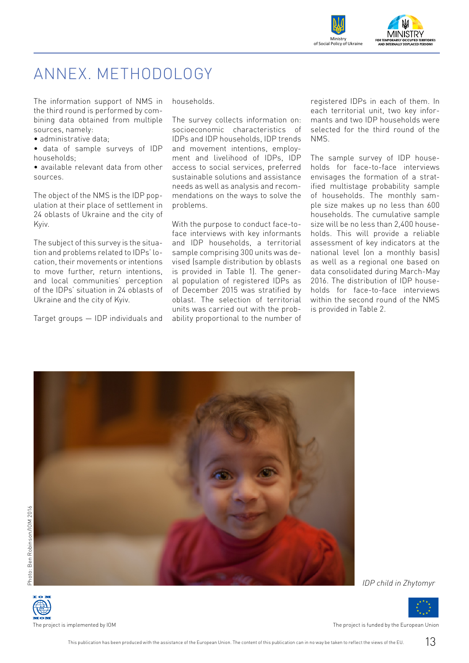

### ANNEX. METHODOLOGY

The information support of NMS in the third round is performed by combining data obtained from multiple sources, namely:

• administrative data;

• data of sample surveys of IDP households;

• available relevant data from other sources.

The object of the NMS is the IDP population at their place of settlement in 24 oblasts of Ukraine and the city of Kyiv.

The subject of this survey is the situation and problems related to IDPs' location, their movements or intentions to move further, return intentions, and local communities' perception of the IDPs' situation in 24 oblasts of Ukraine and the city of Kyiv.

Target groups — IDP individuals and

households.

The survey collects information on: socioeconomic characteristics of IDPs and IDP households, IDP trends and movement intentions, employment and livelihood of IDPs, IDP access to social services, preferred sustainable solutions and assistance needs as well as analysis and recommendations on the ways to solve the problems.

With the purpose to conduct face-toface interviews with key informants and IDP households, a territorial sample comprising 300 units was devised (sample distribution by oblasts is provided in Table 1). The general population of registered IDPs as of December 2015 was stratified by oblast. The selection of territorial units was carried out with the probability proportional to the number of

registered IDPs in each of them. In each territorial unit, two key informants and two IDP households were selected for the third round of the NMS.

The sample survey of IDP households for face-to-face interviews envisages the formation of a stratified multistage probability sample of households. The monthly sample size makes up no less than 600 households. The cumulative sample size will be no less than 2,400 households. This will provide a reliable assessment of key indicators at the national level (on a monthly basis) as well as a regional one based on data consolidated during March-May 2016. The distribution of IDP households for face-to-face interviews within the second round of the NMS is provided in Table 2.



*IDP child in Zhytomyr*